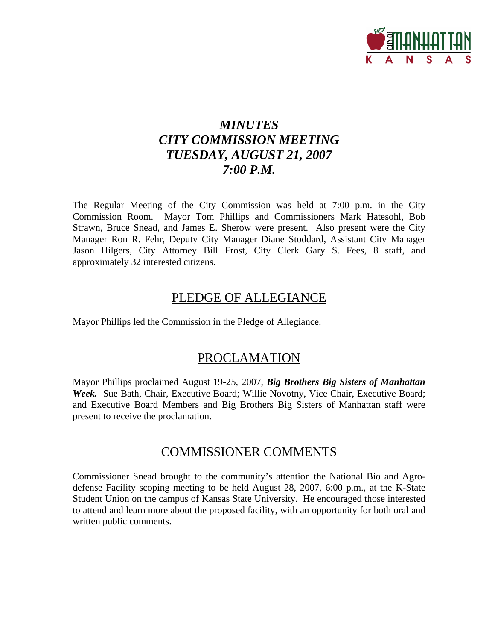

# *MINUTES CITY COMMISSION MEETING TUESDAY, AUGUST 21, 2007 7:00 P.M.*

The Regular Meeting of the City Commission was held at 7:00 p.m. in the City Commission Room. Mayor Tom Phillips and Commissioners Mark Hatesohl, Bob Strawn, Bruce Snead, and James E. Sherow were present. Also present were the City Manager Ron R. Fehr, Deputy City Manager Diane Stoddard, Assistant City Manager Jason Hilgers, City Attorney Bill Frost, City Clerk Gary S. Fees, 8 staff, and approximately 32 interested citizens.

# PLEDGE OF ALLEGIANCE

Mayor Phillips led the Commission in the Pledge of Allegiance.

# PROCLAMATION

Mayor Phillips proclaimed August 19-25, 2007, *Big Brothers Big Sisters of Manhattan Week.* Sue Bath, Chair, Executive Board; Willie Novotny, Vice Chair, Executive Board; and Executive Board Members and Big Brothers Big Sisters of Manhattan staff were present to receive the proclamation.

# COMMISSIONER COMMENTS

Commissioner Snead brought to the community's attention the National Bio and Agrodefense Facility scoping meeting to be held August 28, 2007, 6:00 p.m., at the K-State Student Union on the campus of Kansas State University. He encouraged those interested to attend and learn more about the proposed facility, with an opportunity for both oral and written public comments.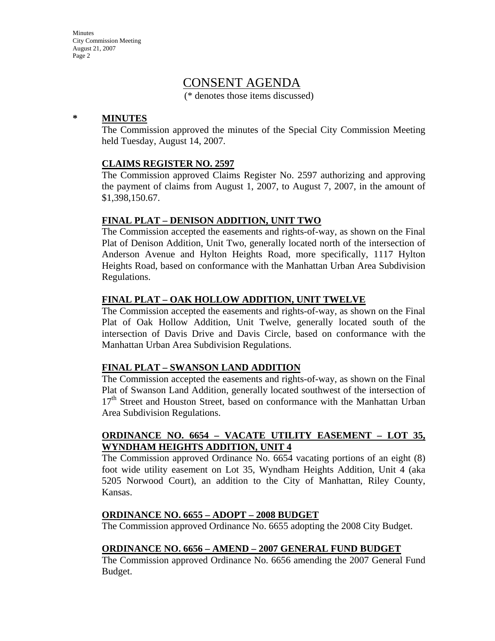# CONSENT AGENDA

(\* denotes those items discussed)

### **\* MINUTES**

The Commission approved the minutes of the Special City Commission Meeting held Tuesday, August 14, 2007.

### **CLAIMS REGISTER NO. 2597**

The Commission approved Claims Register No. 2597 authorizing and approving the payment of claims from August 1, 2007, to August 7, 2007, in the amount of \$1,398,150.67.

### **FINAL PLAT – DENISON ADDITION, UNIT TWO**

The Commission accepted the easements and rights-of-way, as shown on the Final Plat of Denison Addition, Unit Two, generally located north of the intersection of Anderson Avenue and Hylton Heights Road, more specifically, 1117 Hylton Heights Road, based on conformance with the Manhattan Urban Area Subdivision Regulations.

### **FINAL PLAT – OAK HOLLOW ADDITION, UNIT TWELVE**

The Commission accepted the easements and rights-of-way, as shown on the Final Plat of Oak Hollow Addition, Unit Twelve, generally located south of the intersection of Davis Drive and Davis Circle, based on conformance with the Manhattan Urban Area Subdivision Regulations.

### **FINAL PLAT – SWANSON LAND ADDITION**

The Commission accepted the easements and rights-of-way, as shown on the Final Plat of Swanson Land Addition, generally located southwest of the intersection of 17<sup>th</sup> Street and Houston Street, based on conformance with the Manhattan Urban Area Subdivision Regulations.

## **ORDINANCE NO. 6654 – VACATE UTILITY EASEMENT – LOT 35, WYNDHAM HEIGHTS ADDITION, UNIT 4**

The Commission approved Ordinance No. 6654 vacating portions of an eight (8) foot wide utility easement on Lot 35, Wyndham Heights Addition, Unit 4 (aka 5205 Norwood Court), an addition to the City of Manhattan, Riley County, Kansas.

### **ORDINANCE NO. 6655 – ADOPT – 2008 BUDGET**

The Commission approved Ordinance No. 6655 adopting the 2008 City Budget.

### **ORDINANCE NO. 6656 – AMEND – 2007 GENERAL FUND BUDGET**

The Commission approved Ordinance No. 6656 amending the 2007 General Fund Budget.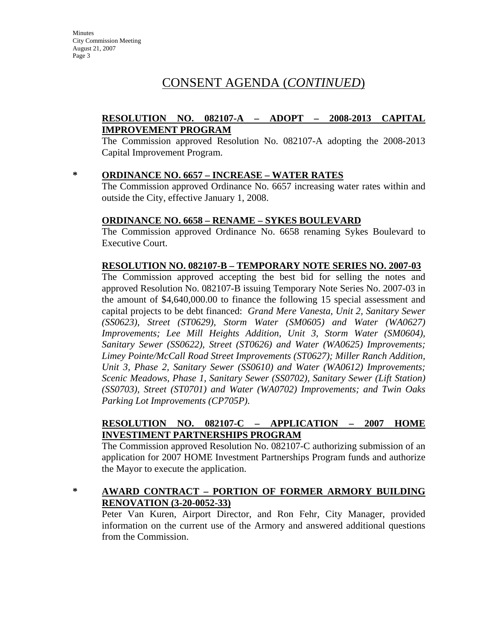# CONSENT AGENDA (*CONTINUED*)

# **RESOLUTION NO. 082107-A – ADOPT – 2008-2013 CAPITAL IMPROVEMENT PROGRAM**

The Commission approved Resolution No. 082107-A adopting the 2008-2013 Capital Improvement Program.

### **\* ORDINANCE NO. 6657 – INCREASE – WATER RATES**

The Commission approved Ordinance No. 6657 increasing water rates within and outside the City, effective January 1, 2008.

### **ORDINANCE NO. 6658 – RENAME – SYKES BOULEVARD**

The Commission approved Ordinance No. 6658 renaming Sykes Boulevard to Executive Court.

### **RESOLUTION NO. 082107-B – TEMPORARY NOTE SERIES NO. 2007-03**

The Commission approved accepting the best bid for selling the notes and approved Resolution No. 082107-B issuing Temporary Note Series No. 2007-03 in the amount of \$4,640,000.00 to finance the following 15 special assessment and capital projects to be debt financed: *Grand Mere Vanesta, Unit 2, Sanitary Sewer (SS0623), Street (ST0629), Storm Water (SM0605) and Water (WA0627) Improvements; Lee Mill Heights Addition, Unit 3, Storm Water (SM0604), Sanitary Sewer (SS0622), Street (ST0626) and Water (WA0625) Improvements; Limey Pointe/McCall Road Street Improvements (ST0627); Miller Ranch Addition, Unit 3, Phase 2, Sanitary Sewer (SS0610) and Water (WA0612) Improvements; Scenic Meadows, Phase 1, Sanitary Sewer (SS0702), Sanitary Sewer (Lift Station) (SS0703), Street (ST0701) and Water (WA0702) Improvements; and Twin Oaks Parking Lot Improvements (CP705P)*.

# **RESOLUTION NO. 082107-C – APPLICATION – 2007 HOME INVESTIMENT PARTNERSHIPS PROGRAM**

The Commission approved Resolution No. 082107-C authorizing submission of an application for 2007 HOME Investment Partnerships Program funds and authorize the Mayor to execute the application.

## **\* AWARD CONTRACT – PORTION OF FORMER ARMORY BUILDING RENOVATION (3-20-0052-33)**

Peter Van Kuren, Airport Director, and Ron Fehr, City Manager, provided information on the current use of the Armory and answered additional questions from the Commission.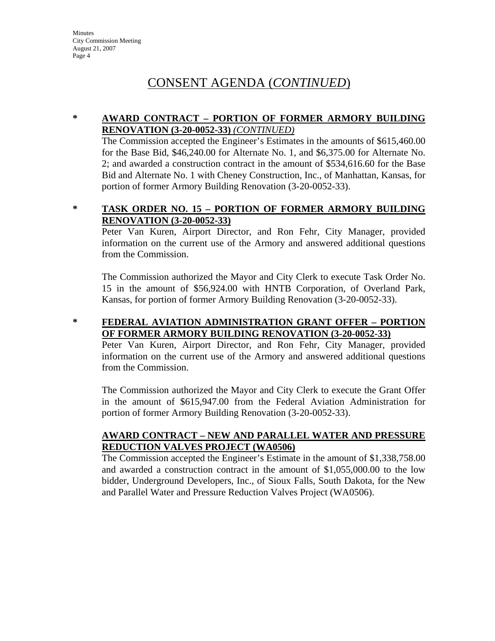# CONSENT AGENDA (*CONTINUED*)

## **\* AWARD CONTRACT – PORTION OF FORMER ARMORY BUILDING RENOVATION (3-20-0052-33)** *(CONTINUED)*

The Commission accepted the Engineer's Estimates in the amounts of \$615,460.00 for the Base Bid, \$46,240.00 for Alternate No. 1, and \$6,375.00 for Alternate No. 2; and awarded a construction contract in the amount of \$534,616.60 for the Base Bid and Alternate No. 1 with Cheney Construction, Inc., of Manhattan, Kansas, for portion of former Armory Building Renovation (3-20-0052-33).

## **\* TASK ORDER NO. 15 – PORTION OF FORMER ARMORY BUILDING RENOVATION (3-20-0052-33)**

Peter Van Kuren, Airport Director, and Ron Fehr, City Manager, provided information on the current use of the Armory and answered additional questions from the Commission.

The Commission authorized the Mayor and City Clerk to execute Task Order No. 15 in the amount of \$56,924.00 with HNTB Corporation, of Overland Park, Kansas, for portion of former Armory Building Renovation (3-20-0052-33).

## **\* FEDERAL AVIATION ADMINISTRATION GRANT OFFER – PORTION OF FORMER ARMORY BUILDING RENOVATION (3-20-0052-33)**

Peter Van Kuren, Airport Director, and Ron Fehr, City Manager, provided information on the current use of the Armory and answered additional questions from the Commission.

The Commission authorized the Mayor and City Clerk to execute the Grant Offer in the amount of \$615,947.00 from the Federal Aviation Administration for portion of former Armory Building Renovation (3-20-0052-33).

## **AWARD CONTRACT – NEW AND PARALLEL WATER AND PRESSURE REDUCTION VALVES PROJECT (WA0506)**

The Commission accepted the Engineer's Estimate in the amount of \$1,338,758.00 and awarded a construction contract in the amount of \$1,055,000.00 to the low bidder, Underground Developers, Inc., of Sioux Falls, South Dakota, for the New and Parallel Water and Pressure Reduction Valves Project (WA0506).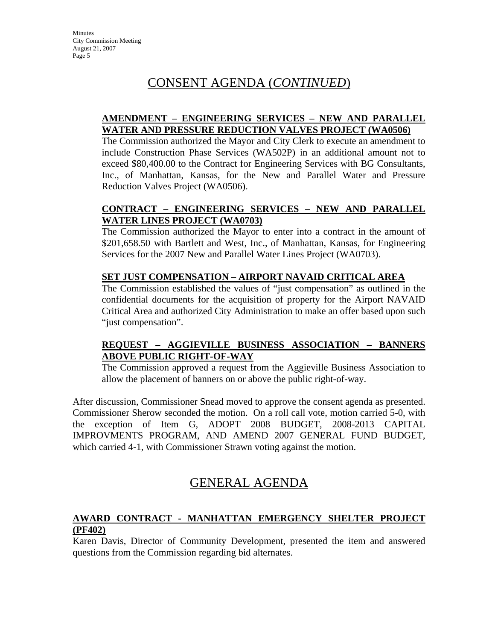# CONSENT AGENDA (*CONTINUED*)

## **AMENDMENT – ENGINEERING SERVICES – NEW AND PARALLEL WATER AND PRESSURE REDUCTION VALVES PROJECT (WA0506)**

The Commission authorized the Mayor and City Clerk to execute an amendment to include Construction Phase Services (WA502P) in an additional amount not to exceed \$80,400.00 to the Contract for Engineering Services with BG Consultants, Inc., of Manhattan, Kansas, for the New and Parallel Water and Pressure Reduction Valves Project (WA0506).

# **CONTRACT – ENGINEERING SERVICES – NEW AND PARALLEL WATER LINES PROJECT (WA0703)**

The Commission authorized the Mayor to enter into a contract in the amount of \$201,658.50 with Bartlett and West, Inc., of Manhattan, Kansas, for Engineering Services for the 2007 New and Parallel Water Lines Project (WA0703).

# **SET JUST COMPENSATION – AIRPORT NAVAID CRITICAL AREA**

The Commission established the values of "just compensation" as outlined in the confidential documents for the acquisition of property for the Airport NAVAID Critical Area and authorized City Administration to make an offer based upon such "just compensation".

# **REQUEST – AGGIEVILLE BUSINESS ASSOCIATION – BANNERS ABOVE PUBLIC RIGHT-OF-WAY**

The Commission approved a request from the Aggieville Business Association to allow the placement of banners on or above the public right-of-way.

After discussion, Commissioner Snead moved to approve the consent agenda as presented. Commissioner Sherow seconded the motion. On a roll call vote, motion carried 5-0, with the exception of Item G, ADOPT 2008 BUDGET, 2008-2013 CAPITAL IMPROVMENTS PROGRAM, AND AMEND 2007 GENERAL FUND BUDGET, which carried 4-1, with Commissioner Strawn voting against the motion.

# GENERAL AGENDA

# **AWARD CONTRACT - MANHATTAN EMERGENCY SHELTER PROJECT (PF402)**

Karen Davis, Director of Community Development, presented the item and answered questions from the Commission regarding bid alternates.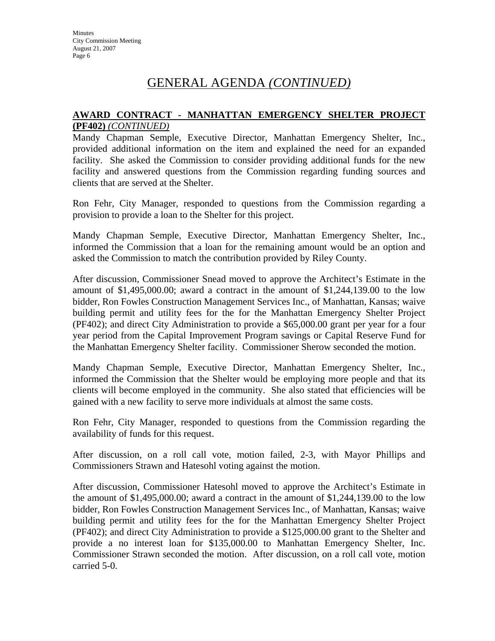## **AWARD CONTRACT - MANHATTAN EMERGENCY SHELTER PROJECT (PF402)** *(CONTINUED)*

Mandy Chapman Semple, Executive Director, Manhattan Emergency Shelter, Inc., provided additional information on the item and explained the need for an expanded facility. She asked the Commission to consider providing additional funds for the new facility and answered questions from the Commission regarding funding sources and clients that are served at the Shelter.

Ron Fehr, City Manager, responded to questions from the Commission regarding a provision to provide a loan to the Shelter for this project.

Mandy Chapman Semple, Executive Director, Manhattan Emergency Shelter, Inc., informed the Commission that a loan for the remaining amount would be an option and asked the Commission to match the contribution provided by Riley County.

After discussion, Commissioner Snead moved to approve the Architect's Estimate in the amount of \$1,495,000.00; award a contract in the amount of \$1,244,139.00 to the low bidder, Ron Fowles Construction Management Services Inc., of Manhattan, Kansas; waive building permit and utility fees for the for the Manhattan Emergency Shelter Project (PF402); and direct City Administration to provide a \$65,000.00 grant per year for a four year period from the Capital Improvement Program savings or Capital Reserve Fund for the Manhattan Emergency Shelter facility. Commissioner Sherow seconded the motion.

Mandy Chapman Semple, Executive Director, Manhattan Emergency Shelter, Inc., informed the Commission that the Shelter would be employing more people and that its clients will become employed in the community. She also stated that efficiencies will be gained with a new facility to serve more individuals at almost the same costs.

Ron Fehr, City Manager, responded to questions from the Commission regarding the availability of funds for this request.

After discussion, on a roll call vote, motion failed, 2-3, with Mayor Phillips and Commissioners Strawn and Hatesohl voting against the motion.

After discussion, Commissioner Hatesohl moved to approve the Architect's Estimate in the amount of \$1,495,000.00; award a contract in the amount of \$1,244,139.00 to the low bidder, Ron Fowles Construction Management Services Inc., of Manhattan, Kansas; waive building permit and utility fees for the for the Manhattan Emergency Shelter Project (PF402); and direct City Administration to provide a \$125,000.00 grant to the Shelter and provide a no interest loan for \$135,000.00 to Manhattan Emergency Shelter, Inc. Commissioner Strawn seconded the motion. After discussion, on a roll call vote, motion carried 5-0.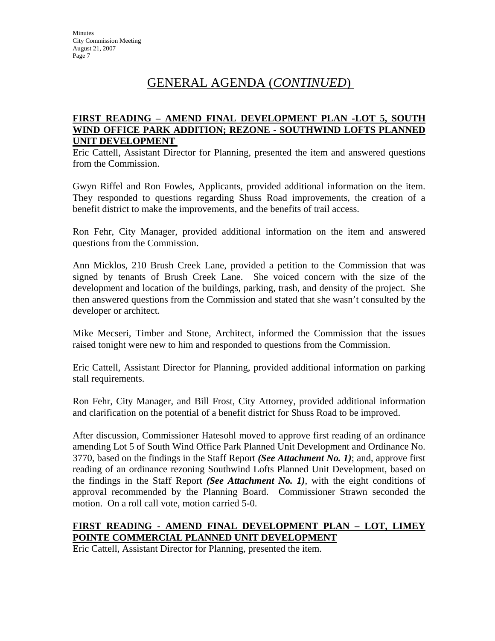## **FIRST READING – AMEND FINAL DEVELOPMENT PLAN -LOT 5, SOUTH WIND OFFICE PARK ADDITION; REZONE - SOUTHWIND LOFTS PLANNED UNIT DEVELOPMENT**

Eric Cattell, Assistant Director for Planning, presented the item and answered questions from the Commission.

Gwyn Riffel and Ron Fowles, Applicants, provided additional information on the item. They responded to questions regarding Shuss Road improvements, the creation of a benefit district to make the improvements, and the benefits of trail access.

Ron Fehr, City Manager, provided additional information on the item and answered questions from the Commission.

Ann Micklos, 210 Brush Creek Lane, provided a petition to the Commission that was signed by tenants of Brush Creek Lane. She voiced concern with the size of the development and location of the buildings, parking, trash, and density of the project. She then answered questions from the Commission and stated that she wasn't consulted by the developer or architect.

Mike Mecseri, Timber and Stone, Architect, informed the Commission that the issues raised tonight were new to him and responded to questions from the Commission.

Eric Cattell, Assistant Director for Planning, provided additional information on parking stall requirements.

Ron Fehr, City Manager, and Bill Frost, City Attorney, provided additional information and clarification on the potential of a benefit district for Shuss Road to be improved.

After discussion, Commissioner Hatesohl moved to approve first reading of an ordinance amending Lot 5 of South Wind Office Park Planned Unit Development and Ordinance No. 3770, based on the findings in the Staff Report *(See Attachment No. 1)*; and, approve first reading of an ordinance rezoning Southwind Lofts Planned Unit Development, based on the findings in the Staff Report *(See Attachment No. 1)*, with the eight conditions of approval recommended by the Planning Board. Commissioner Strawn seconded the motion. On a roll call vote, motion carried 5-0.

# **FIRST READING - AMEND FINAL DEVELOPMENT PLAN – LOT, LIMEY POINTE COMMERCIAL PLANNED UNIT DEVELOPMENT**

Eric Cattell, Assistant Director for Planning, presented the item.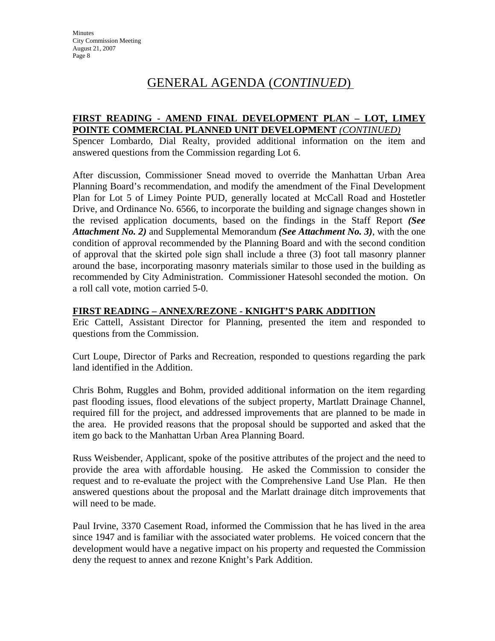## **FIRST READING - AMEND FINAL DEVELOPMENT PLAN – LOT, LIMEY POINTE COMMERCIAL PLANNED UNIT DEVELOPMENT** *(CONTINUED)*

Spencer Lombardo, Dial Realty, provided additional information on the item and answered questions from the Commission regarding Lot 6.

After discussion, Commissioner Snead moved to override the Manhattan Urban Area Planning Board's recommendation, and modify the amendment of the Final Development Plan for Lot 5 of Limey Pointe PUD, generally located at McCall Road and Hostetler Drive, and Ordinance No. 6566, to incorporate the building and signage changes shown in the revised application documents, based on the findings in the Staff Report *(See Attachment No. 2)* and Supplemental Memorandum *(See Attachment No. 3)*, with the one condition of approval recommended by the Planning Board and with the second condition of approval that the skirted pole sign shall include a three (3) foot tall masonry planner around the base, incorporating masonry materials similar to those used in the building as recommended by City Administration. Commissioner Hatesohl seconded the motion. On a roll call vote, motion carried 5-0.

### **FIRST READING – ANNEX/REZONE - KNIGHT'S PARK ADDITION**

Eric Cattell, Assistant Director for Planning, presented the item and responded to questions from the Commission.

Curt Loupe, Director of Parks and Recreation, responded to questions regarding the park land identified in the Addition.

Chris Bohm, Ruggles and Bohm, provided additional information on the item regarding past flooding issues, flood elevations of the subject property, Martlatt Drainage Channel, required fill for the project, and addressed improvements that are planned to be made in the area. He provided reasons that the proposal should be supported and asked that the item go back to the Manhattan Urban Area Planning Board.

Russ Weisbender, Applicant, spoke of the positive attributes of the project and the need to provide the area with affordable housing. He asked the Commission to consider the request and to re-evaluate the project with the Comprehensive Land Use Plan. He then answered questions about the proposal and the Marlatt drainage ditch improvements that will need to be made.

Paul Irvine, 3370 Casement Road, informed the Commission that he has lived in the area since 1947 and is familiar with the associated water problems. He voiced concern that the development would have a negative impact on his property and requested the Commission deny the request to annex and rezone Knight's Park Addition.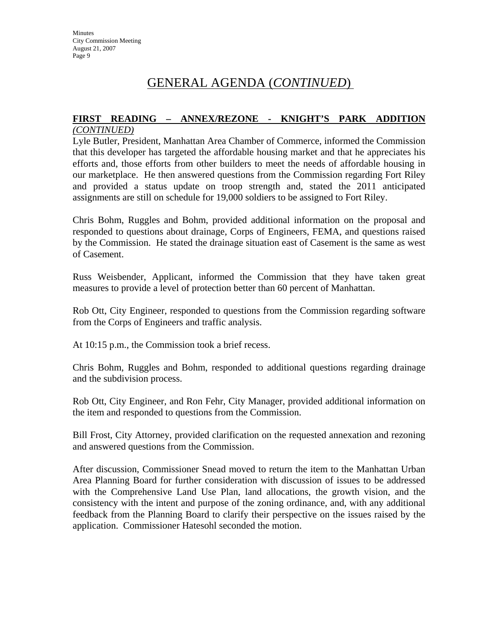### **FIRST READING – ANNEX/REZONE - KNIGHT'S PARK ADDITION** *(CONTINUED)*

Lyle Butler, President, Manhattan Area Chamber of Commerce, informed the Commission that this developer has targeted the affordable housing market and that he appreciates his efforts and, those efforts from other builders to meet the needs of affordable housing in our marketplace. He then answered questions from the Commission regarding Fort Riley and provided a status update on troop strength and, stated the 2011 anticipated assignments are still on schedule for 19,000 soldiers to be assigned to Fort Riley.

Chris Bohm, Ruggles and Bohm, provided additional information on the proposal and responded to questions about drainage, Corps of Engineers, FEMA, and questions raised by the Commission. He stated the drainage situation east of Casement is the same as west of Casement.

Russ Weisbender, Applicant, informed the Commission that they have taken great measures to provide a level of protection better than 60 percent of Manhattan.

Rob Ott, City Engineer, responded to questions from the Commission regarding software from the Corps of Engineers and traffic analysis.

At 10:15 p.m., the Commission took a brief recess.

Chris Bohm, Ruggles and Bohm, responded to additional questions regarding drainage and the subdivision process.

Rob Ott, City Engineer, and Ron Fehr, City Manager, provided additional information on the item and responded to questions from the Commission.

Bill Frost, City Attorney, provided clarification on the requested annexation and rezoning and answered questions from the Commission.

After discussion, Commissioner Snead moved to return the item to the Manhattan Urban Area Planning Board for further consideration with discussion of issues to be addressed with the Comprehensive Land Use Plan, land allocations, the growth vision, and the consistency with the intent and purpose of the zoning ordinance, and, with any additional feedback from the Planning Board to clarify their perspective on the issues raised by the application. Commissioner Hatesohl seconded the motion.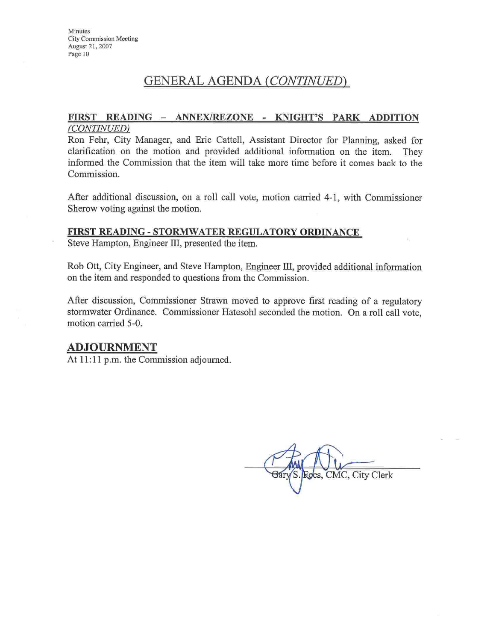#### FIRST READING - ANNEX/REZONE - KNIGHT'S PARK ADDITION (CONTINUED)

Ron Fehr, City Manager, and Eric Cattell, Assistant Director for Planning, asked for clarification on the motion and provided additional information on the item. They informed the Commission that the item will take more time before it comes back to the Commission.

After additional discussion, on a roll call vote, motion carried 4-1, with Commissioner Sherow voting against the motion.

#### FIRST READING - STORMWATER REGULATORY ORDINANCE

Steve Hampton, Engineer III, presented the item.

Rob Ott, City Engineer, and Steve Hampton, Engineer III, provided additional information on the item and responded to questions from the Commission.

After discussion, Commissioner Strawn moved to approve first reading of a regulatory stormwater Ordinance. Commissioner Hatesohl seconded the motion. On a roll call vote, motion carried 5-0.

## **ADJOURNMENT**

At 11:11 p.m. the Commission adjourned.

Roes, CMC, City Clerk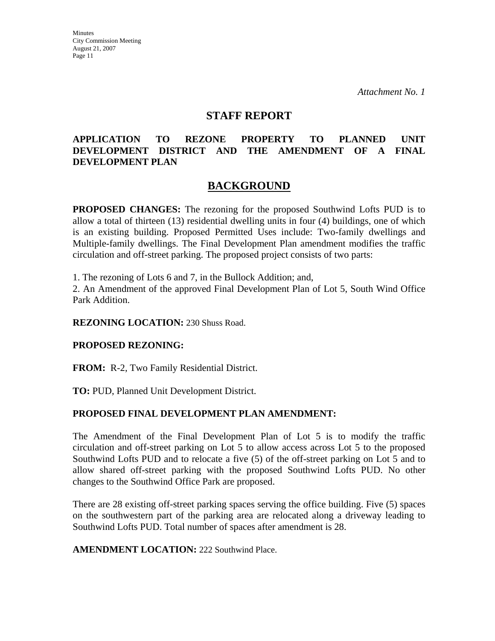### **STAFF REPORT**

## **APPLICATION TO REZONE PROPERTY TO PLANNED UNIT DEVELOPMENT DISTRICT AND THE AMENDMENT OF A FINAL DEVELOPMENT PLAN**

# **BACKGROUND**

**PROPOSED CHANGES:** The rezoning for the proposed Southwind Lofts PUD is to allow a total of thirteen (13) residential dwelling units in four (4) buildings, one of which is an existing building. Proposed Permitted Uses include: Two-family dwellings and Multiple-family dwellings. The Final Development Plan amendment modifies the traffic circulation and off-street parking. The proposed project consists of two parts:

1. The rezoning of Lots 6 and 7, in the Bullock Addition; and,

2. An Amendment of the approved Final Development Plan of Lot 5, South Wind Office Park Addition.

**REZONING LOCATION:** 230 Shuss Road.

### **PROPOSED REZONING:**

**FROM:** R-2, Two Family Residential District.

**TO:** PUD, Planned Unit Development District.

### **PROPOSED FINAL DEVELOPMENT PLAN AMENDMENT:**

The Amendment of the Final Development Plan of Lot 5 is to modify the traffic circulation and off-street parking on Lot 5 to allow access across Lot 5 to the proposed Southwind Lofts PUD and to relocate a five (5) of the off-street parking on Lot 5 and to allow shared off-street parking with the proposed Southwind Lofts PUD. No other changes to the Southwind Office Park are proposed.

There are 28 existing off-street parking spaces serving the office building. Five (5) spaces on the southwestern part of the parking area are relocated along a driveway leading to Southwind Lofts PUD. Total number of spaces after amendment is 28.

**AMENDMENT LOCATION:** 222 Southwind Place.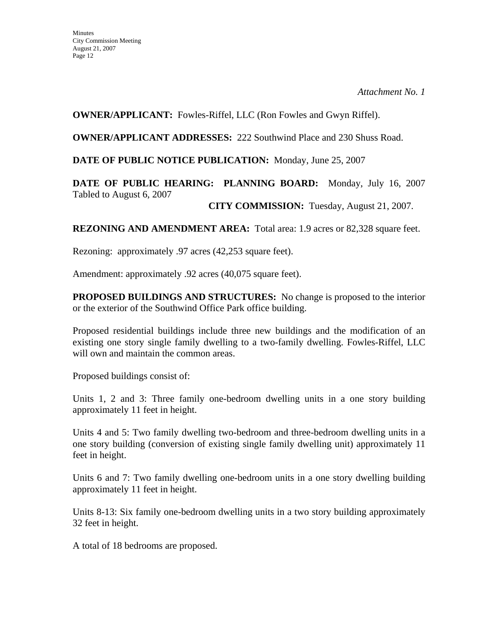## **OWNER/APPLICANT:** Fowles-Riffel, LLC (Ron Fowles and Gwyn Riffel).

**OWNER/APPLICANT ADDRESSES:** 222 Southwind Place and 230 Shuss Road.

## **DATE OF PUBLIC NOTICE PUBLICATION:** Monday, June 25, 2007

# **DATE OF PUBLIC HEARING: PLANNING BOARD:** Monday, July 16, 2007 Tabled to August 6, 2007

**CITY COMMISSION:** Tuesday, August 21, 2007.

**REZONING AND AMENDMENT AREA:** Total area: 1.9 acres or 82,328 square feet.

Rezoning: approximately .97 acres (42,253 square feet).

Amendment: approximately .92 acres (40,075 square feet).

**PROPOSED BUILDINGS AND STRUCTURES:** No change is proposed to the interior or the exterior of the Southwind Office Park office building.

Proposed residential buildings include three new buildings and the modification of an existing one story single family dwelling to a two-family dwelling. Fowles-Riffel, LLC will own and maintain the common areas.

Proposed buildings consist of:

Units 1, 2 and 3: Three family one-bedroom dwelling units in a one story building approximately 11 feet in height.

Units 4 and 5: Two family dwelling two-bedroom and three-bedroom dwelling units in a one story building (conversion of existing single family dwelling unit) approximately 11 feet in height.

Units 6 and 7: Two family dwelling one-bedroom units in a one story dwelling building approximately 11 feet in height.

Units 8-13: Six family one-bedroom dwelling units in a two story building approximately 32 feet in height.

A total of 18 bedrooms are proposed.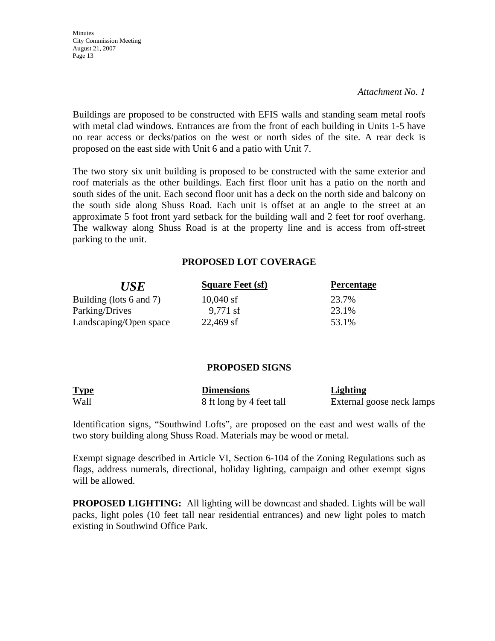*Attachment No. 1*

Buildings are proposed to be constructed with EFIS walls and standing seam metal roofs with metal clad windows. Entrances are from the front of each building in Units 1-5 have no rear access or decks/patios on the west or north sides of the site. A rear deck is proposed on the east side with Unit 6 and a patio with Unit 7.

The two story six unit building is proposed to be constructed with the same exterior and roof materials as the other buildings. Each first floor unit has a patio on the north and south sides of the unit. Each second floor unit has a deck on the north side and balcony on the south side along Shuss Road. Each unit is offset at an angle to the street at an approximate 5 foot front yard setback for the building wall and 2 feet for roof overhang. The walkway along Shuss Road is at the property line and is access from off-street parking to the unit.

### **PROPOSED LOT COVERAGE**

| <b>USE</b>              | <b>Square Feet (sf)</b> | <b>Percentage</b> |
|-------------------------|-------------------------|-------------------|
| Building (lots 6 and 7) | $10,040$ sf             | 23.7%             |
| Parking/Drives          | $9,771$ sf              | 23.1%             |
| Landscaping/Open space  | $22,469$ sf             | 53.1%             |

### **PROPOSED SIGNS**

| <b>Type</b> | <b>Dimensions</b>        | <b>Lighting</b>           |
|-------------|--------------------------|---------------------------|
| Wall        | 8 ft long by 4 feet tall | External goose neck lamps |

Identification signs, "Southwind Lofts", are proposed on the east and west walls of the two story building along Shuss Road. Materials may be wood or metal.

Exempt signage described in Article VI, Section 6-104 of the Zoning Regulations such as flags, address numerals, directional, holiday lighting, campaign and other exempt signs will be allowed.

**PROPOSED LIGHTING:** All lighting will be downcast and shaded. Lights will be wall packs, light poles (10 feet tall near residential entrances) and new light poles to match existing in Southwind Office Park.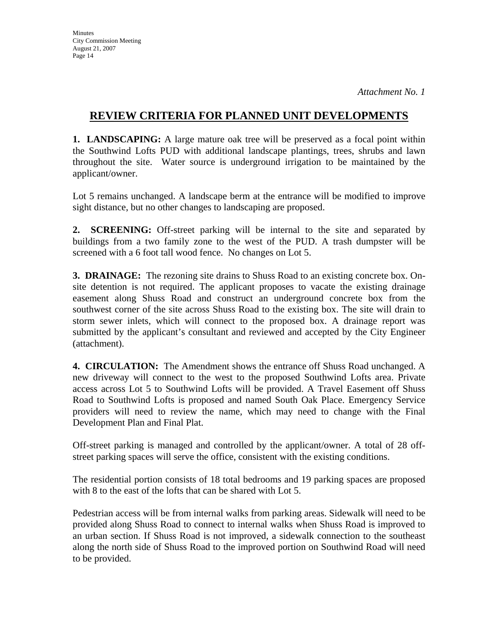# **REVIEW CRITERIA FOR PLANNED UNIT DEVELOPMENTS**

**1. LANDSCAPING:** A large mature oak tree will be preserved as a focal point within the Southwind Lofts PUD with additional landscape plantings, trees, shrubs and lawn throughout the site. Water source is underground irrigation to be maintained by the applicant/owner.

Lot 5 remains unchanged. A landscape berm at the entrance will be modified to improve sight distance, but no other changes to landscaping are proposed.

**2. SCREENING:** Off-street parking will be internal to the site and separated by buildings from a two family zone to the west of the PUD. A trash dumpster will be screened with a 6 foot tall wood fence. No changes on Lot 5.

**3. DRAINAGE:** The rezoning site drains to Shuss Road to an existing concrete box. Onsite detention is not required. The applicant proposes to vacate the existing drainage easement along Shuss Road and construct an underground concrete box from the southwest corner of the site across Shuss Road to the existing box. The site will drain to storm sewer inlets, which will connect to the proposed box. A drainage report was submitted by the applicant's consultant and reviewed and accepted by the City Engineer (attachment).

**4. CIRCULATION:** The Amendment shows the entrance off Shuss Road unchanged. A new driveway will connect to the west to the proposed Southwind Lofts area. Private access across Lot 5 to Southwind Lofts will be provided. A Travel Easement off Shuss Road to Southwind Lofts is proposed and named South Oak Place. Emergency Service providers will need to review the name, which may need to change with the Final Development Plan and Final Plat.

Off-street parking is managed and controlled by the applicant/owner. A total of 28 offstreet parking spaces will serve the office, consistent with the existing conditions.

The residential portion consists of 18 total bedrooms and 19 parking spaces are proposed with 8 to the east of the lofts that can be shared with Lot 5.

Pedestrian access will be from internal walks from parking areas. Sidewalk will need to be provided along Shuss Road to connect to internal walks when Shuss Road is improved to an urban section. If Shuss Road is not improved, a sidewalk connection to the southeast along the north side of Shuss Road to the improved portion on Southwind Road will need to be provided.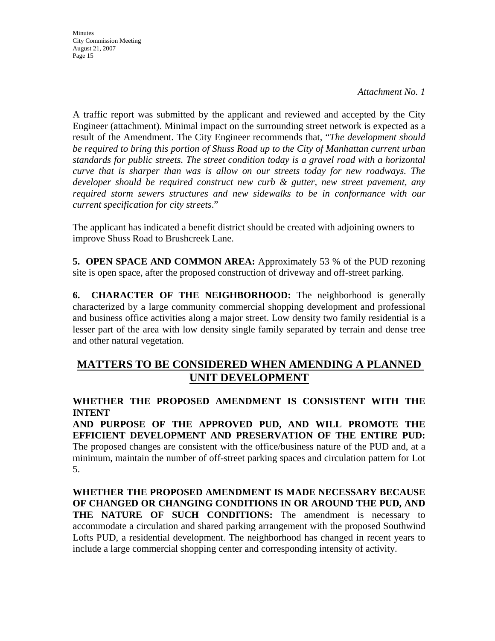*Attachment No. 1*

A traffic report was submitted by the applicant and reviewed and accepted by the City Engineer (attachment). Minimal impact on the surrounding street network is expected as a result of the Amendment. The City Engineer recommends that, "*The development should be required to bring this portion of Shuss Road up to the City of Manhattan current urban standards for public streets. The street condition today is a gravel road with a horizontal curve that is sharper than was is allow on our streets today for new roadways. The developer should be required construct new curb & gutter, new street pavement, any required storm sewers structures and new sidewalks to be in conformance with our current specification for city streets*."

The applicant has indicated a benefit district should be created with adjoining owners to improve Shuss Road to Brushcreek Lane.

**5. OPEN SPACE AND COMMON AREA:** Approximately 53 % of the PUD rezoning site is open space, after the proposed construction of driveway and off-street parking.

**6. CHARACTER OF THE NEIGHBORHOOD:** The neighborhood is generally characterized by a large community commercial shopping development and professional and business office activities along a major street. Low density two family residential is a lesser part of the area with low density single family separated by terrain and dense tree and other natural vegetation.

# **MATTERS TO BE CONSIDERED WHEN AMENDING A PLANNED UNIT DEVELOPMENT**

# **WHETHER THE PROPOSED AMENDMENT IS CONSISTENT WITH THE INTENT**

**AND PURPOSE OF THE APPROVED PUD, AND WILL PROMOTE THE EFFICIENT DEVELOPMENT AND PRESERVATION OF THE ENTIRE PUD:**  The proposed changes are consistent with the office/business nature of the PUD and, at a minimum, maintain the number of off-street parking spaces and circulation pattern for Lot 5.

**WHETHER THE PROPOSED AMENDMENT IS MADE NECESSARY BECAUSE OF CHANGED OR CHANGING CONDITIONS IN OR AROUND THE PUD, AND THE NATURE OF SUCH CONDITIONS:** The amendment is necessary to accommodate a circulation and shared parking arrangement with the proposed Southwind Lofts PUD, a residential development. The neighborhood has changed in recent years to include a large commercial shopping center and corresponding intensity of activity.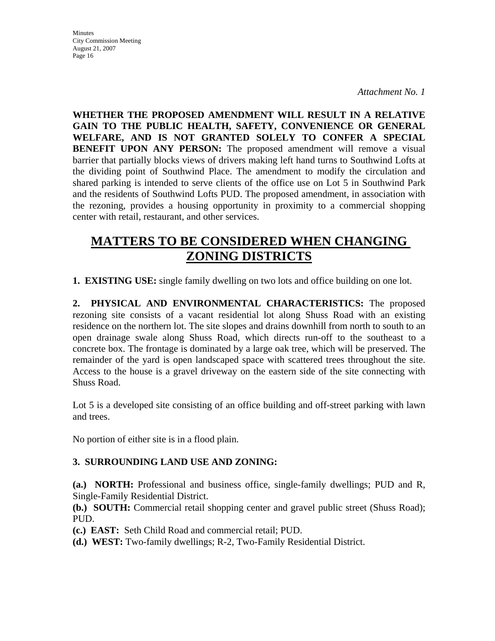*Attachment No. 1*

**WHETHER THE PROPOSED AMENDMENT WILL RESULT IN A RELATIVE GAIN TO THE PUBLIC HEALTH, SAFETY, CONVENIENCE OR GENERAL WELFARE, AND IS NOT GRANTED SOLELY TO CONFER A SPECIAL BENEFIT UPON ANY PERSON:** The proposed amendment will remove a visual barrier that partially blocks views of drivers making left hand turns to Southwind Lofts at the dividing point of Southwind Place. The amendment to modify the circulation and shared parking is intended to serve clients of the office use on Lot 5 in Southwind Park and the residents of Southwind Lofts PUD. The proposed amendment, in association with the rezoning, provides a housing opportunity in proximity to a commercial shopping center with retail, restaurant, and other services.

# **MATTERS TO BE CONSIDERED WHEN CHANGING ZONING DISTRICTS**

**1. EXISTING USE:** single family dwelling on two lots and office building on one lot.

**2. PHYSICAL AND ENVIRONMENTAL CHARACTERISTICS:** The proposed rezoning site consists of a vacant residential lot along Shuss Road with an existing residence on the northern lot. The site slopes and drains downhill from north to south to an open drainage swale along Shuss Road, which directs run-off to the southeast to a concrete box. The frontage is dominated by a large oak tree, which will be preserved. The remainder of the yard is open landscaped space with scattered trees throughout the site. Access to the house is a gravel driveway on the eastern side of the site connecting with Shuss Road.

Lot 5 is a developed site consisting of an office building and off-street parking with lawn and trees.

No portion of either site is in a flood plain.

## **3. SURROUNDING LAND USE AND ZONING:**

**(a.) NORTH:** Professional and business office, single-family dwellings; PUD and R, Single-Family Residential District.

**(b.) SOUTH:** Commercial retail shopping center and gravel public street (Shuss Road); PUD.

- **(c.) EAST:** Seth Child Road and commercial retail; PUD.
- **(d.) WEST:** Two-family dwellings; R-2, Two-Family Residential District.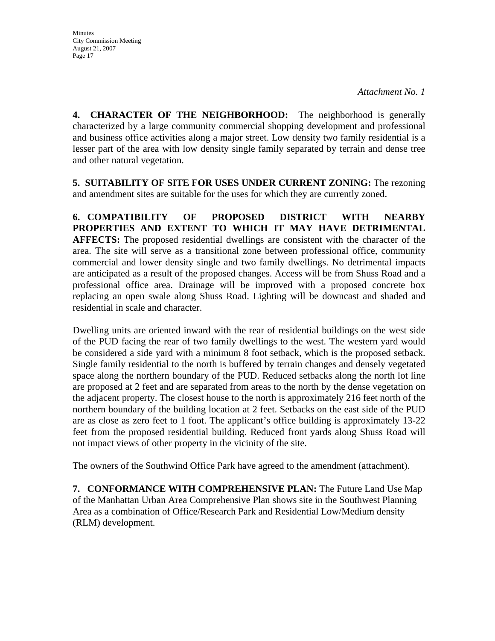**4. CHARACTER OF THE NEIGHBORHOOD:** The neighborhood is generally characterized by a large community commercial shopping development and professional and business office activities along a major street. Low density two family residential is a lesser part of the area with low density single family separated by terrain and dense tree and other natural vegetation.

**5. SUITABILITY OF SITE FOR USES UNDER CURRENT ZONING:** The rezoning and amendment sites are suitable for the uses for which they are currently zoned.

**6. COMPATIBILITY OF PROPOSED DISTRICT WITH NEARBY PROPERTIES AND EXTENT TO WHICH IT MAY HAVE DETRIMENTAL AFFECTS:** The proposed residential dwellings are consistent with the character of the area. The site will serve as a transitional zone between professional office, community commercial and lower density single and two family dwellings. No detrimental impacts are anticipated as a result of the proposed changes. Access will be from Shuss Road and a professional office area. Drainage will be improved with a proposed concrete box replacing an open swale along Shuss Road. Lighting will be downcast and shaded and residential in scale and character.

Dwelling units are oriented inward with the rear of residential buildings on the west side of the PUD facing the rear of two family dwellings to the west. The western yard would be considered a side yard with a minimum 8 foot setback, which is the proposed setback. Single family residential to the north is buffered by terrain changes and densely vegetated space along the northern boundary of the PUD. Reduced setbacks along the north lot line are proposed at 2 feet and are separated from areas to the north by the dense vegetation on the adjacent property. The closest house to the north is approximately 216 feet north of the northern boundary of the building location at 2 feet. Setbacks on the east side of the PUD are as close as zero feet to 1 foot. The applicant's office building is approximately 13-22 feet from the proposed residential building. Reduced front yards along Shuss Road will not impact views of other property in the vicinity of the site.

The owners of the Southwind Office Park have agreed to the amendment (attachment).

**7. CONFORMANCE WITH COMPREHENSIVE PLAN:** The Future Land Use Map of the Manhattan Urban Area Comprehensive Plan shows site in the Southwest Planning Area as a combination of Office/Research Park and Residential Low/Medium density (RLM) development.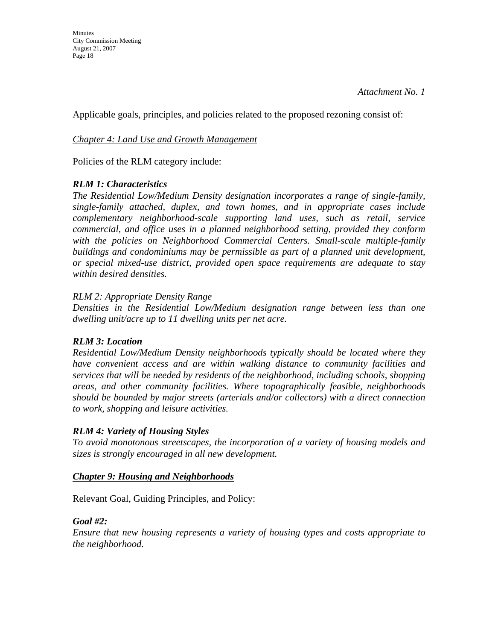Applicable goals, principles, and policies related to the proposed rezoning consist of:

## *Chapter 4: Land Use and Growth Management*

Policies of the RLM category include:

# *RLM 1: Characteristics*

*The Residential Low/Medium Density designation incorporates a range of single-family, single-family attached, duplex, and town homes, and in appropriate cases include complementary neighborhood-scale supporting land uses, such as retail, service commercial, and office uses in a planned neighborhood setting, provided they conform*  with the policies on Neighborhood Commercial Centers. Small-scale multiple-family *buildings and condominiums may be permissible as part of a planned unit development, or special mixed-use district, provided open space requirements are adequate to stay within desired densities.* 

## *RLM 2: Appropriate Density Range*

*Densities in the Residential Low/Medium designation range between less than one dwelling unit/acre up to 11 dwelling units per net acre.* 

## *RLM 3: Location*

*Residential Low/Medium Density neighborhoods typically should be located where they have convenient access and are within walking distance to community facilities and services that will be needed by residents of the neighborhood, including schools, shopping areas, and other community facilities. Where topographically feasible, neighborhoods should be bounded by major streets (arterials and/or collectors) with a direct connection to work, shopping and leisure activities.* 

# *RLM 4: Variety of Housing Styles*

*To avoid monotonous streetscapes, the incorporation of a variety of housing models and sizes is strongly encouraged in all new development.* 

## *Chapter 9: Housing and Neighborhoods*

Relevant Goal, Guiding Principles, and Policy:

## *Goal #2:*

*Ensure that new housing represents a variety of housing types and costs appropriate to the neighborhood.*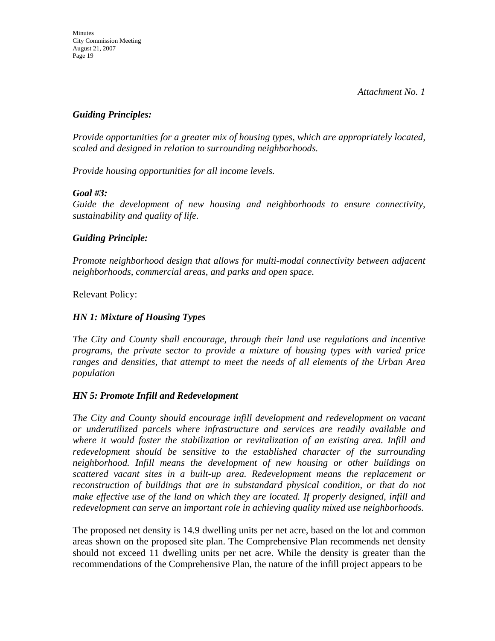*Attachment No. 1*

### *Guiding Principles:*

*Provide opportunities for a greater mix of housing types, which are appropriately located, scaled and designed in relation to surrounding neighborhoods.* 

*Provide housing opportunities for all income levels.* 

### *Goal #3:*

*Guide the development of new housing and neighborhoods to ensure connectivity, sustainability and quality of life.* 

### *Guiding Principle:*

*Promote neighborhood design that allows for multi-modal connectivity between adjacent neighborhoods, commercial areas, and parks and open space.* 

Relevant Policy:

### *HN 1: Mixture of Housing Types*

*The City and County shall encourage, through their land use regulations and incentive programs, the private sector to provide a mixture of housing types with varied price ranges and densities, that attempt to meet the needs of all elements of the Urban Area population*

### *HN 5: Promote Infill and Redevelopment*

*The City and County should encourage infill development and redevelopment on vacant or underutilized parcels where infrastructure and services are readily available and where it would foster the stabilization or revitalization of an existing area. Infill and redevelopment should be sensitive to the established character of the surrounding neighborhood. Infill means the development of new housing or other buildings on scattered vacant sites in a built-up area. Redevelopment means the replacement or reconstruction of buildings that are in substandard physical condition, or that do not make effective use of the land on which they are located. If properly designed, infill and redevelopment can serve an important role in achieving quality mixed use neighborhoods.* 

The proposed net density is 14.9 dwelling units per net acre, based on the lot and common areas shown on the proposed site plan. The Comprehensive Plan recommends net density should not exceed 11 dwelling units per net acre. While the density is greater than the recommendations of the Comprehensive Plan, the nature of the infill project appears to be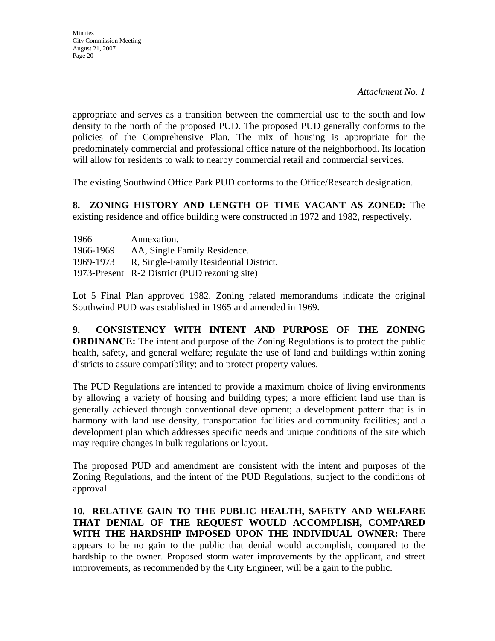appropriate and serves as a transition between the commercial use to the south and low density to the north of the proposed PUD. The proposed PUD generally conforms to the policies of the Comprehensive Plan. The mix of housing is appropriate for the predominately commercial and professional office nature of the neighborhood. Its location will allow for residents to walk to nearby commercial retail and commercial services.

The existing Southwind Office Park PUD conforms to the Office/Research designation.

**8. ZONING HISTORY AND LENGTH OF TIME VACANT AS ZONED:** The existing residence and office building were constructed in 1972 and 1982, respectively.

| 1966      | Annexation.                                   |
|-----------|-----------------------------------------------|
| 1966-1969 | AA, Single Family Residence.                  |
| 1969-1973 | R, Single-Family Residential District.        |
|           | 1973-Present R-2 District (PUD rezoning site) |

Lot 5 Final Plan approved 1982. Zoning related memorandums indicate the original Southwind PUD was established in 1965 and amended in 1969.

**9. CONSISTENCY WITH INTENT AND PURPOSE OF THE ZONING ORDINANCE:** The intent and purpose of the Zoning Regulations is to protect the public health, safety, and general welfare; regulate the use of land and buildings within zoning districts to assure compatibility; and to protect property values.

The PUD Regulations are intended to provide a maximum choice of living environments by allowing a variety of housing and building types; a more efficient land use than is generally achieved through conventional development; a development pattern that is in harmony with land use density, transportation facilities and community facilities; and a development plan which addresses specific needs and unique conditions of the site which may require changes in bulk regulations or layout.

The proposed PUD and amendment are consistent with the intent and purposes of the Zoning Regulations, and the intent of the PUD Regulations, subject to the conditions of approval.

**10. RELATIVE GAIN TO THE PUBLIC HEALTH, SAFETY AND WELFARE THAT DENIAL OF THE REQUEST WOULD ACCOMPLISH, COMPARED WITH THE HARDSHIP IMPOSED UPON THE INDIVIDUAL OWNER:** There appears to be no gain to the public that denial would accomplish, compared to the hardship to the owner. Proposed storm water improvements by the applicant, and street improvements, as recommended by the City Engineer, will be a gain to the public.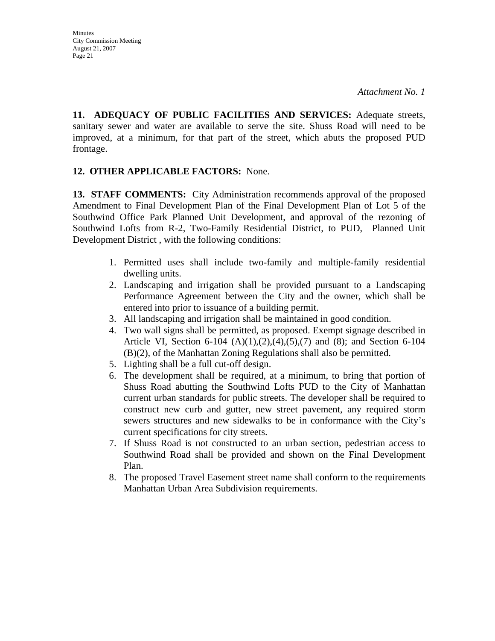**11. ADEQUACY OF PUBLIC FACILITIES AND SERVICES:** Adequate streets, sanitary sewer and water are available to serve the site. Shuss Road will need to be improved, at a minimum, for that part of the street, which abuts the proposed PUD frontage.

## **12. OTHER APPLICABLE FACTORS:** None.

**13. STAFF COMMENTS:** City Administration recommends approval of the proposed Amendment to Final Development Plan of the Final Development Plan of Lot 5 of the Southwind Office Park Planned Unit Development, and approval of the rezoning of Southwind Lofts from R-2, Two-Family Residential District, to PUD, Planned Unit Development District , with the following conditions:

- 1. Permitted uses shall include two-family and multiple-family residential dwelling units.
- 2. Landscaping and irrigation shall be provided pursuant to a Landscaping Performance Agreement between the City and the owner, which shall be entered into prior to issuance of a building permit.
- 3. All landscaping and irrigation shall be maintained in good condition.
- 4. Two wall signs shall be permitted, as proposed. Exempt signage described in Article VI, Section 6-104 (A)(1),(2),(4),(5),(7) and (8); and Section 6-104 (B)(2), of the Manhattan Zoning Regulations shall also be permitted.
- 5. Lighting shall be a full cut-off design.
- 6. The development shall be required, at a minimum, to bring that portion of Shuss Road abutting the Southwind Lofts PUD to the City of Manhattan current urban standards for public streets. The developer shall be required to construct new curb and gutter, new street pavement, any required storm sewers structures and new sidewalks to be in conformance with the City's current specifications for city streets.
- 7. If Shuss Road is not constructed to an urban section, pedestrian access to Southwind Road shall be provided and shown on the Final Development Plan.
- 8. The proposed Travel Easement street name shall conform to the requirements Manhattan Urban Area Subdivision requirements.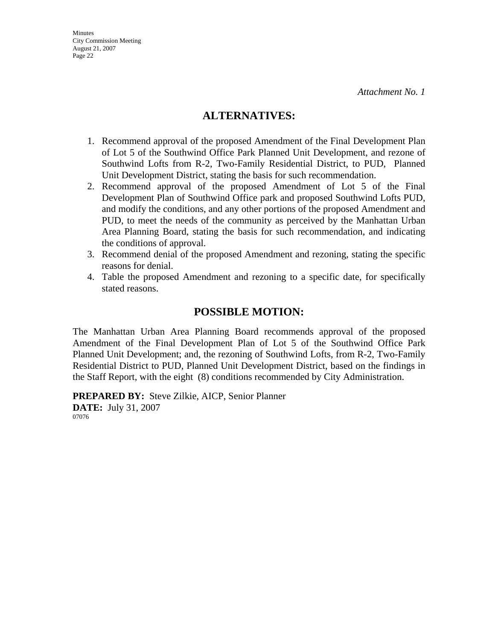# **ALTERNATIVES:**

- 1. Recommend approval of the proposed Amendment of the Final Development Plan of Lot 5 of the Southwind Office Park Planned Unit Development, and rezone of Southwind Lofts from R-2, Two-Family Residential District, to PUD, Planned Unit Development District, stating the basis for such recommendation.
- 2. Recommend approval of the proposed Amendment of Lot 5 of the Final Development Plan of Southwind Office park and proposed Southwind Lofts PUD, and modify the conditions, and any other portions of the proposed Amendment and PUD, to meet the needs of the community as perceived by the Manhattan Urban Area Planning Board, stating the basis for such recommendation, and indicating the conditions of approval.
- 3. Recommend denial of the proposed Amendment and rezoning, stating the specific reasons for denial.
- 4. Table the proposed Amendment and rezoning to a specific date, for specifically stated reasons.

# **POSSIBLE MOTION:**

The Manhattan Urban Area Planning Board recommends approval of the proposed Amendment of the Final Development Plan of Lot 5 of the Southwind Office Park Planned Unit Development; and, the rezoning of Southwind Lofts, from R-2, Two-Family Residential District to PUD, Planned Unit Development District, based on the findings in the Staff Report, with the eight (8) conditions recommended by City Administration.

**PREPARED BY:** Steve Zilkie, AICP, Senior Planner **DATE:** July 31, 2007 07076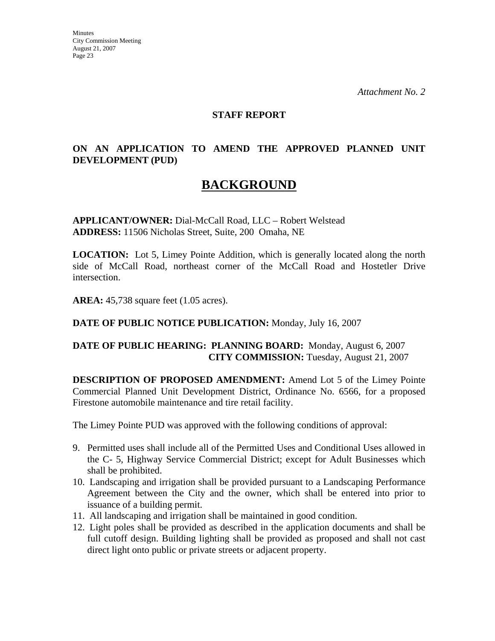#### **STAFF REPORT**

# **ON AN APPLICATION TO AMEND THE APPROVED PLANNED UNIT DEVELOPMENT (PUD)**

# **BACKGROUND**

**APPLICANT/OWNER:** Dial-McCall Road, LLC – Robert Welstead **ADDRESS:** 11506 Nicholas Street, Suite, 200 Omaha, NE

**LOCATION:** Lot 5, Limey Pointe Addition, which is generally located along the north side of McCall Road, northeast corner of the McCall Road and Hostetler Drive intersection.

**AREA:** 45,738 square feet (1.05 acres).

#### **DATE OF PUBLIC NOTICE PUBLICATION:** Monday, July 16, 2007

### **DATE OF PUBLIC HEARING: PLANNING BOARD:** Monday, August 6, 2007 **CITY COMMISSION:** Tuesday, August 21, 2007

**DESCRIPTION OF PROPOSED AMENDMENT:** Amend Lot 5 of the Limey Pointe Commercial Planned Unit Development District, Ordinance No. 6566, for a proposed Firestone automobile maintenance and tire retail facility.

The Limey Pointe PUD was approved with the following conditions of approval:

- 9. Permitted uses shall include all of the Permitted Uses and Conditional Uses allowed in the C- 5, Highway Service Commercial District; except for Adult Businesses which shall be prohibited.
- 10. Landscaping and irrigation shall be provided pursuant to a Landscaping Performance Agreement between the City and the owner, which shall be entered into prior to issuance of a building permit.
- 11. All landscaping and irrigation shall be maintained in good condition.
- 12. Light poles shall be provided as described in the application documents and shall be full cutoff design. Building lighting shall be provided as proposed and shall not cast direct light onto public or private streets or adjacent property.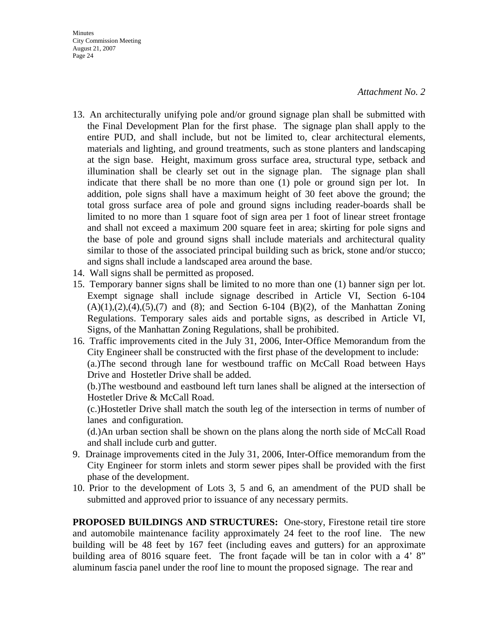#### *Attachment No. 2*

- 13. An architecturally unifying pole and/or ground signage plan shall be submitted with the Final Development Plan for the first phase. The signage plan shall apply to the entire PUD, and shall include, but not be limited to, clear architectural elements, materials and lighting, and ground treatments, such as stone planters and landscaping at the sign base. Height, maximum gross surface area, structural type, setback and illumination shall be clearly set out in the signage plan. The signage plan shall indicate that there shall be no more than one (1) pole or ground sign per lot. In addition, pole signs shall have a maximum height of 30 feet above the ground; the total gross surface area of pole and ground signs including reader-boards shall be limited to no more than 1 square foot of sign area per 1 foot of linear street frontage and shall not exceed a maximum 200 square feet in area; skirting for pole signs and the base of pole and ground signs shall include materials and architectural quality similar to those of the associated principal building such as brick, stone and/or stucco; and signs shall include a landscaped area around the base.
- 14. Wall signs shall be permitted as proposed.
- 15. Temporary banner signs shall be limited to no more than one (1) banner sign per lot. Exempt signage shall include signage described in Article VI, Section 6-104  $(A)(1),(2),(4),(5),(7)$  and  $(8)$ ; and Section 6-104  $(B)(2)$ , of the Manhattan Zoning Regulations. Temporary sales aids and portable signs, as described in Article VI, Signs, of the Manhattan Zoning Regulations, shall be prohibited.
- 16. Traffic improvements cited in the July 31, 2006, Inter-Office Memorandum from the City Engineer shall be constructed with the first phase of the development to include: (a.)The second through lane for westbound traffic on McCall Road between Hays Drive and Hostetler Drive shall be added.

 (b.)The westbound and eastbound left turn lanes shall be aligned at the intersection of Hostetler Drive & McCall Road.

 (c.)Hostetler Drive shall match the south leg of the intersection in terms of number of lanes and configuration.

 (d.)An urban section shall be shown on the plans along the north side of McCall Road and shall include curb and gutter.

- 9. Drainage improvements cited in the July 31, 2006, Inter-Office memorandum from the City Engineer for storm inlets and storm sewer pipes shall be provided with the first phase of the development.
- 10. Prior to the development of Lots 3, 5 and 6, an amendment of the PUD shall be submitted and approved prior to issuance of any necessary permits.

**PROPOSED BUILDINGS AND STRUCTURES:** One-story, Firestone retail tire store and automobile maintenance facility approximately 24 feet to the roof line. The new building will be 48 feet by 167 feet (including eaves and gutters) for an approximate building area of 8016 square feet. The front façade will be tan in color with a 4' 8" aluminum fascia panel under the roof line to mount the proposed signage. The rear and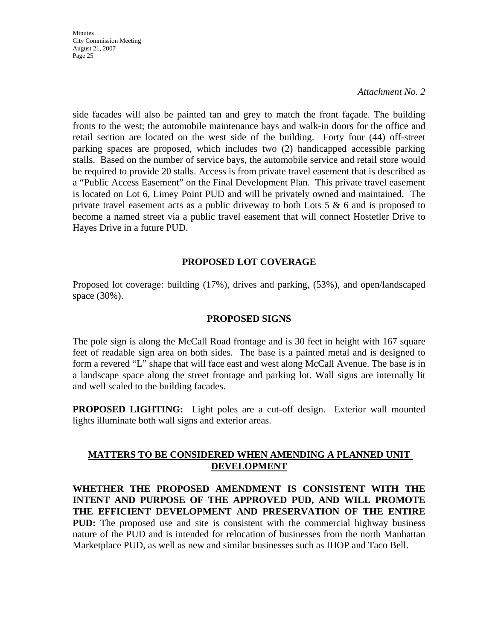*Attachment No. 2*

side facades will also be painted tan and grey to match the front façade. The building fronts to the west; the automobile maintenance bays and walk-in doors for the office and retail section are located on the west side of the building. Forty four (44) off-street parking spaces are proposed, which includes two (2) handicapped accessible parking stalls. Based on the number of service bays, the automobile service and retail store would be required to provide 20 stalls. Access is from private travel easement that is described as a "Public Access Easement" on the Final Development Plan. This private travel easement is located on Lot 6, Limey Point PUD and will be privately owned and maintained. The private travel easement acts as a public driveway to both Lots  $5 \& 6$  and is proposed to become a named street via a public travel easement that will connect Hostetler Drive to Hayes Drive in a future PUD.

### **PROPOSED LOT COVERAGE**

Proposed lot coverage: building (17%), drives and parking, (53%), and open/landscaped space (30%).

#### **PROPOSED SIGNS**

The pole sign is along the McCall Road frontage and is 30 feet in height with 167 square feet of readable sign area on both sides. The base is a painted metal and is designed to form a revered "L" shape that will face east and west along McCall Avenue. The base is in a landscape space along the street frontage and parking lot. Wall signs are internally lit and well scaled to the building facades.

**PROPOSED LIGHTING:** Light poles are a cut-off design. Exterior wall mounted lights illuminate both wall signs and exterior areas.

## **MATTERS TO BE CONSIDERED WHEN AMENDING A PLANNED UNIT DEVELOPMENT**

**WHETHER THE PROPOSED AMENDMENT IS CONSISTENT WITH THE INTENT AND PURPOSE OF THE APPROVED PUD, AND WILL PROMOTE THE EFFICIENT DEVELOPMENT AND PRESERVATION OF THE ENTIRE PUD:** The proposed use and site is consistent with the commercial highway business nature of the PUD and is intended for relocation of businesses from the north Manhattan Marketplace PUD, as well as new and similar businesses such as IHOP and Taco Bell.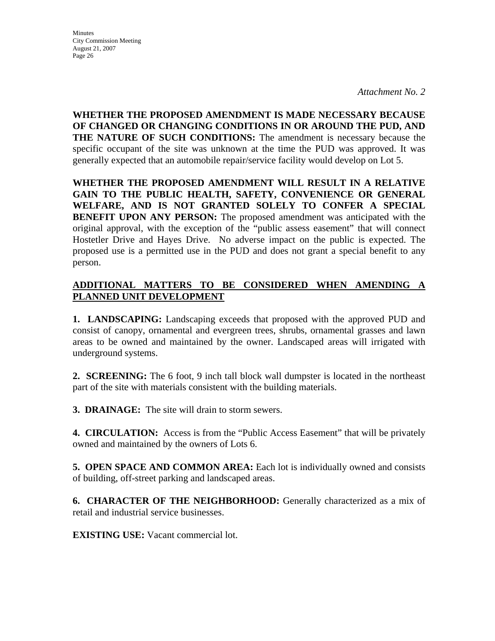*Attachment No. 2*

**WHETHER THE PROPOSED AMENDMENT IS MADE NECESSARY BECAUSE OF CHANGED OR CHANGING CONDITIONS IN OR AROUND THE PUD, AND THE NATURE OF SUCH CONDITIONS:** The amendment is necessary because the specific occupant of the site was unknown at the time the PUD was approved. It was generally expected that an automobile repair/service facility would develop on Lot 5.

**WHETHER THE PROPOSED AMENDMENT WILL RESULT IN A RELATIVE GAIN TO THE PUBLIC HEALTH, SAFETY, CONVENIENCE OR GENERAL WELFARE, AND IS NOT GRANTED SOLELY TO CONFER A SPECIAL BENEFIT UPON ANY PERSON:** The proposed amendment was anticipated with the original approval, with the exception of the "public assess easement" that will connect Hostetler Drive and Hayes Drive. No adverse impact on the public is expected. The proposed use is a permitted use in the PUD and does not grant a special benefit to any person.

# **ADDITIONAL MATTERS TO BE CONSIDERED WHEN AMENDING A PLANNED UNIT DEVELOPMENT**

**1. LANDSCAPING:** Landscaping exceeds that proposed with the approved PUD and consist of canopy, ornamental and evergreen trees, shrubs, ornamental grasses and lawn areas to be owned and maintained by the owner. Landscaped areas will irrigated with underground systems.

**2. SCREENING:** The 6 foot, 9 inch tall block wall dumpster is located in the northeast part of the site with materials consistent with the building materials.

**3. DRAINAGE:** The site will drain to storm sewers.

**4. CIRCULATION:** Access is from the "Public Access Easement" that will be privately owned and maintained by the owners of Lots 6.

**5. OPEN SPACE AND COMMON AREA:** Each lot is individually owned and consists of building, off-street parking and landscaped areas.

**6. CHARACTER OF THE NEIGHBORHOOD:** Generally characterized as a mix of retail and industrial service businesses.

**EXISTING USE:** Vacant commercial lot.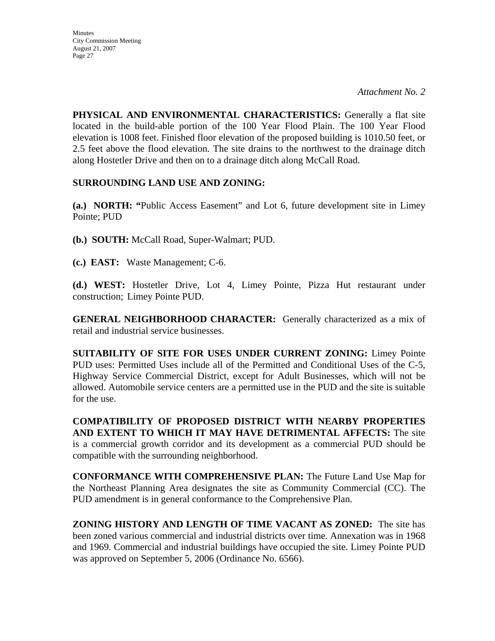**PHYSICAL AND ENVIRONMENTAL CHARACTERISTICS:** Generally a flat site located in the build-able portion of the 100 Year Flood Plain. The 100 Year Flood elevation is 1008 feet. Finished floor elevation of the proposed building is 1010.50 feet, or 2.5 feet above the flood elevation. The site drains to the northwest to the drainage ditch along Hostetler Drive and then on to a drainage ditch along McCall Road.

# **SURROUNDING LAND USE AND ZONING:**

**(a.) NORTH: "**Public Access Easement" and Lot 6, future development site in Limey Pointe; PUD

**(b.) SOUTH:** McCall Road, Super-Walmart; PUD.

**(c.) EAST:** Waste Management; C-6.

**(d.) WEST:** Hostetler Drive, Lot 4, Limey Pointe, Pizza Hut restaurant under construction; Limey Pointe PUD.

**GENERAL NEIGHBORHOOD CHARACTER:** Generally characterized as a mix of retail and industrial service businesses.

**SUITABILITY OF SITE FOR USES UNDER CURRENT ZONING:** Limey Pointe PUD uses: Permitted Uses include all of the Permitted and Conditional Uses of the C-5, Highway Service Commercial District, except for Adult Businesses, which will not be allowed. Automobile service centers are a permitted use in the PUD and the site is suitable for the use.

**COMPATIBILITY OF PROPOSED DISTRICT WITH NEARBY PROPERTIES AND EXTENT TO WHICH IT MAY HAVE DETRIMENTAL AFFECTS:** The site is a commercial growth corridor and its development as a commercial PUD should be compatible with the surrounding neighborhood.

**CONFORMANCE WITH COMPREHENSIVE PLAN:** The Future Land Use Map for the Northeast Planning Area designates the site as Community Commercial (CC). The PUD amendment is in general conformance to the Comprehensive Plan.

**ZONING HISTORY AND LENGTH OF TIME VACANT AS ZONED:** The site has been zoned various commercial and industrial districts over time. Annexation was in 1968 and 1969. Commercial and industrial buildings have occupied the site. Limey Pointe PUD was approved on September 5, 2006 (Ordinance No. 6566).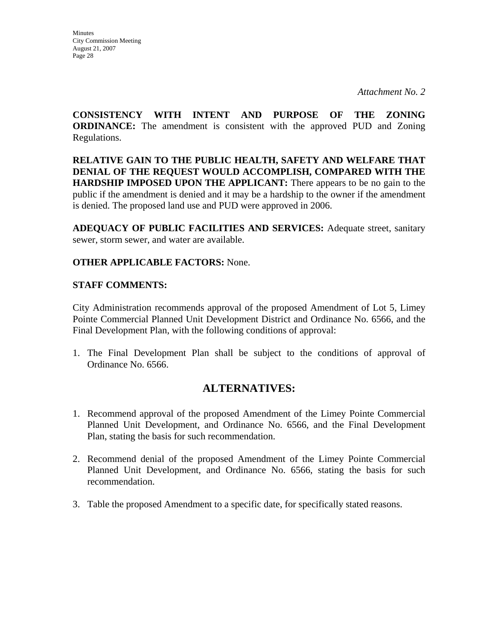**Minutes** City Commission Meeting August 21, 2007 Page 28

**CONSISTENCY WITH INTENT AND PURPOSE OF THE ZONING ORDINANCE:** The amendment is consistent with the approved PUD and Zoning Regulations.

**RELATIVE GAIN TO THE PUBLIC HEALTH, SAFETY AND WELFARE THAT DENIAL OF THE REQUEST WOULD ACCOMPLISH, COMPARED WITH THE HARDSHIP IMPOSED UPON THE APPLICANT:** There appears to be no gain to the public if the amendment is denied and it may be a hardship to the owner if the amendment is denied. The proposed land use and PUD were approved in 2006.

**ADEQUACY OF PUBLIC FACILITIES AND SERVICES:** Adequate street, sanitary sewer, storm sewer, and water are available.

# **OTHER APPLICABLE FACTORS:** None.

## **STAFF COMMENTS:**

City Administration recommends approval of the proposed Amendment of Lot 5, Limey Pointe Commercial Planned Unit Development District and Ordinance No. 6566, and the Final Development Plan, with the following conditions of approval:

1. The Final Development Plan shall be subject to the conditions of approval of Ordinance No. 6566.

# **ALTERNATIVES:**

- 1. Recommend approval of the proposed Amendment of the Limey Pointe Commercial Planned Unit Development, and Ordinance No. 6566, and the Final Development Plan, stating the basis for such recommendation.
- 2. Recommend denial of the proposed Amendment of the Limey Pointe Commercial Planned Unit Development, and Ordinance No. 6566, stating the basis for such recommendation.
- 3. Table the proposed Amendment to a specific date, for specifically stated reasons.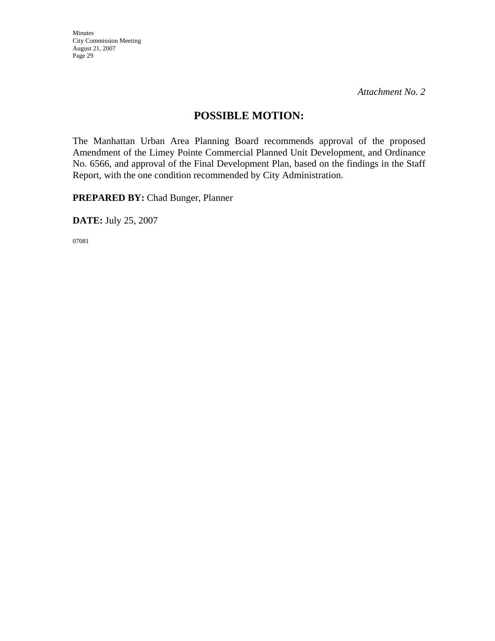*Attachment No. 2*

# **POSSIBLE MOTION:**

The Manhattan Urban Area Planning Board recommends approval of the proposed Amendment of the Limey Pointe Commercial Planned Unit Development, and Ordinance No. 6566, and approval of the Final Development Plan, based on the findings in the Staff Report, with the one condition recommended by City Administration.

**PREPARED BY:** Chad Bunger, Planner

**DATE:** July 25, 2007

07081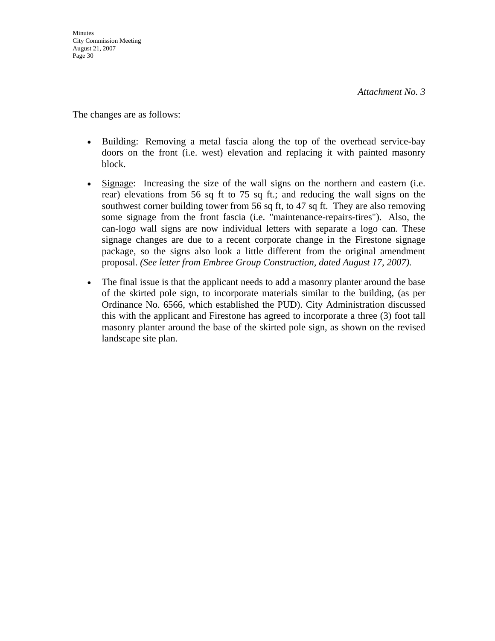The changes are as follows:

- Building: Removing a metal fascia along the top of the overhead service-bay doors on the front (i.e. west) elevation and replacing it with painted masonry block.
- Signage: Increasing the size of the wall signs on the northern and eastern (i.e. rear) elevations from 56 sq ft to 75 sq ft.; and reducing the wall signs on the southwest corner building tower from 56 sq ft, to 47 sq ft. They are also removing some signage from the front fascia (i.e. "maintenance-repairs-tires"). Also, the can-logo wall signs are now individual letters with separate a logo can. These signage changes are due to a recent corporate change in the Firestone signage package, so the signs also look a little different from the original amendment proposal. *(See letter from Embree Group Construction, dated August 17, 2007).*
- The final issue is that the applicant needs to add a masonry planter around the base of the skirted pole sign, to incorporate materials similar to the building, (as per Ordinance No. 6566, which established the PUD). City Administration discussed this with the applicant and Firestone has agreed to incorporate a three (3) foot tall masonry planter around the base of the skirted pole sign, as shown on the revised landscape site plan.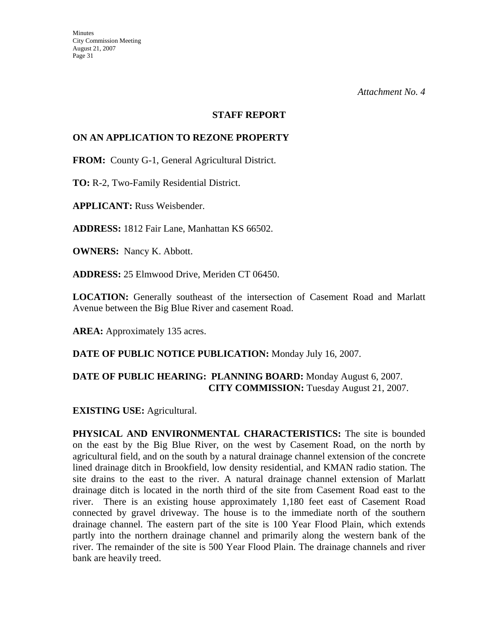### **STAFF REPORT**

### **ON AN APPLICATION TO REZONE PROPERTY**

**FROM:** County G-1, General Agricultural District.

**TO:** R-2, Two-Family Residential District.

**APPLICANT:** Russ Weisbender.

**ADDRESS:** 1812 Fair Lane, Manhattan KS 66502.

**OWNERS:** Nancy K. Abbott.

**ADDRESS:** 25 Elmwood Drive, Meriden CT 06450.

**LOCATION:** Generally southeast of the intersection of Casement Road and Marlatt Avenue between the Big Blue River and casement Road.

**AREA:** Approximately 135 acres.

**DATE OF PUBLIC NOTICE PUBLICATION:** Monday July 16, 2007.

# **DATE OF PUBLIC HEARING: PLANNING BOARD:** Monday August 6, 2007. **CITY COMMISSION:** Tuesday August 21, 2007.

**EXISTING USE:** Agricultural.

**PHYSICAL AND ENVIRONMENTAL CHARACTERISTICS:** The site is bounded on the east by the Big Blue River, on the west by Casement Road, on the north by agricultural field, and on the south by a natural drainage channel extension of the concrete lined drainage ditch in Brookfield, low density residential, and KMAN radio station. The site drains to the east to the river. A natural drainage channel extension of Marlatt drainage ditch is located in the north third of the site from Casement Road east to the river. There is an existing house approximately 1,180 feet east of Casement Road connected by gravel driveway. The house is to the immediate north of the southern drainage channel. The eastern part of the site is 100 Year Flood Plain, which extends partly into the northern drainage channel and primarily along the western bank of the river. The remainder of the site is 500 Year Flood Plain. The drainage channels and river bank are heavily treed.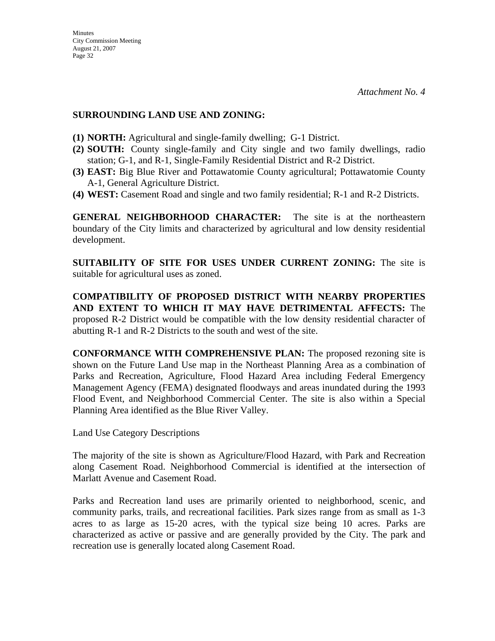### **SURROUNDING LAND USE AND ZONING:**

- **(1) NORTH:** Agricultural and single-family dwelling; G-1 District.
- **(2) SOUTH:** County single-family and City single and two family dwellings, radio station; G-1, and R-1, Single-Family Residential District and R-2 District.
- **(3) EAST:** Big Blue River and Pottawatomie County agricultural; Pottawatomie County A-1, General Agriculture District.
- **(4) WEST:** Casement Road and single and two family residential; R-1 and R-2 Districts.

**GENERAL NEIGHBORHOOD CHARACTER:** The site is at the northeastern boundary of the City limits and characterized by agricultural and low density residential development.

**SUITABILITY OF SITE FOR USES UNDER CURRENT ZONING:** The site is suitable for agricultural uses as zoned.

**COMPATIBILITY OF PROPOSED DISTRICT WITH NEARBY PROPERTIES AND EXTENT TO WHICH IT MAY HAVE DETRIMENTAL AFFECTS:** The proposed R-2 District would be compatible with the low density residential character of abutting R-1 and R-2 Districts to the south and west of the site.

**CONFORMANCE WITH COMPREHENSIVE PLAN:** The proposed rezoning site is shown on the Future Land Use map in the Northeast Planning Area as a combination of Parks and Recreation, Agriculture, Flood Hazard Area including Federal Emergency Management Agency (FEMA) designated floodways and areas inundated during the 1993 Flood Event, and Neighborhood Commercial Center. The site is also within a Special Planning Area identified as the Blue River Valley.

Land Use Category Descriptions

The majority of the site is shown as Agriculture/Flood Hazard, with Park and Recreation along Casement Road. Neighborhood Commercial is identified at the intersection of Marlatt Avenue and Casement Road.

Parks and Recreation land uses are primarily oriented to neighborhood, scenic, and community parks, trails, and recreational facilities. Park sizes range from as small as 1-3 acres to as large as 15-20 acres, with the typical size being 10 acres. Parks are characterized as active or passive and are generally provided by the City. The park and recreation use is generally located along Casement Road.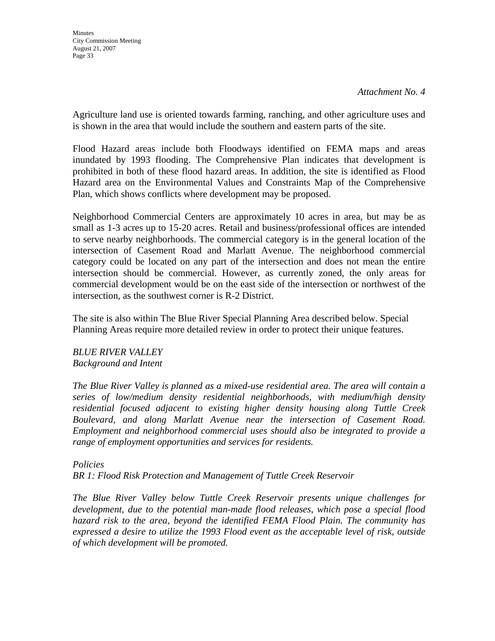**Minutes** City Commission Meeting August 21, 2007 Page 33

Agriculture land use is oriented towards farming, ranching, and other agriculture uses and is shown in the area that would include the southern and eastern parts of the site.

Flood Hazard areas include both Floodways identified on FEMA maps and areas inundated by 1993 flooding. The Comprehensive Plan indicates that development is prohibited in both of these flood hazard areas. In addition, the site is identified as Flood Hazard area on the Environmental Values and Constraints Map of the Comprehensive Plan, which shows conflicts where development may be proposed.

Neighborhood Commercial Centers are approximately 10 acres in area, but may be as small as 1-3 acres up to 15-20 acres. Retail and business/professional offices are intended to serve nearby neighborhoods. The commercial category is in the general location of the intersection of Casement Road and Marlatt Avenue. The neighborhood commercial category could be located on any part of the intersection and does not mean the entire intersection should be commercial. However, as currently zoned, the only areas for commercial development would be on the east side of the intersection or northwest of the intersection, as the southwest corner is R-2 District.

The site is also within The Blue River Special Planning Area described below. Special Planning Areas require more detailed review in order to protect their unique features.

*BLUE RIVER VALLEY Background and Intent* 

*The Blue River Valley is planned as a mixed-use residential area. The area will contain a series of low/medium density residential neighborhoods, with medium/high density residential focused adjacent to existing higher density housing along Tuttle Creek Boulevard, and along Marlatt Avenue near the intersection of Casement Road. Employment and neighborhood commercial uses should also be integrated to provide a range of employment opportunities and services for residents.* 

*Policies BR 1: Flood Risk Protection and Management of Tuttle Creek Reservoir* 

*The Blue River Valley below Tuttle Creek Reservoir presents unique challenges for development, due to the potential man-made flood releases, which pose a special flood hazard risk to the area, beyond the identified FEMA Flood Plain. The community has expressed a desire to utilize the 1993 Flood event as the acceptable level of risk, outside of which development will be promoted.*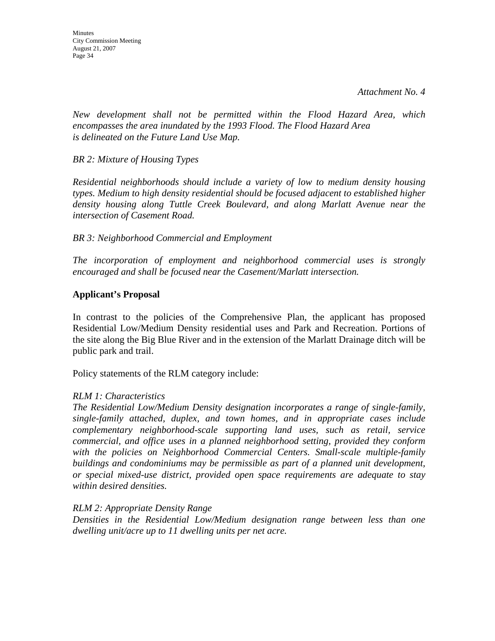*Attachment No. 4*

*New development shall not be permitted within the Flood Hazard Area, which encompasses the area inundated by the 1993 Flood. The Flood Hazard Area is delineated on the Future Land Use Map.* 

### *BR 2: Mixture of Housing Types*

*Residential neighborhoods should include a variety of low to medium density housing types. Medium to high density residential should be focused adjacent to established higher density housing along Tuttle Creek Boulevard, and along Marlatt Avenue near the intersection of Casement Road.* 

### *BR 3: Neighborhood Commercial and Employment*

*The incorporation of employment and neighborhood commercial uses is strongly encouraged and shall be focused near the Casement/Marlatt intersection.* 

### **Applicant's Proposal**

In contrast to the policies of the Comprehensive Plan, the applicant has proposed Residential Low/Medium Density residential uses and Park and Recreation. Portions of the site along the Big Blue River and in the extension of the Marlatt Drainage ditch will be public park and trail.

Policy statements of the RLM category include:

### *RLM 1: Characteristics*

*The Residential Low/Medium Density designation incorporates a range of single-family, single-family attached, duplex, and town homes, and in appropriate cases include complementary neighborhood-scale supporting land uses, such as retail, service commercial, and office uses in a planned neighborhood setting, provided they conform*  with the policies on Neighborhood Commercial Centers. Small-scale multiple-family *buildings and condominiums may be permissible as part of a planned unit development, or special mixed-use district, provided open space requirements are adequate to stay within desired densities.* 

### *RLM 2: Appropriate Density Range*

*Densities in the Residential Low/Medium designation range between less than one dwelling unit/acre up to 11 dwelling units per net acre.*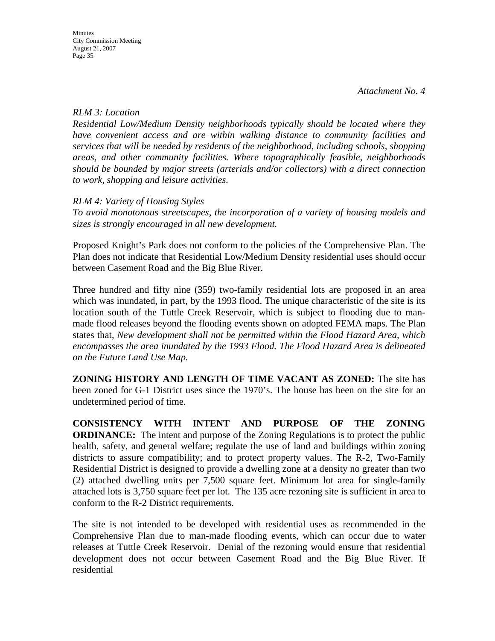### *RLM 3: Location*

*Residential Low/Medium Density neighborhoods typically should be located where they have convenient access and are within walking distance to community facilities and services that will be needed by residents of the neighborhood, including schools, shopping areas, and other community facilities. Where topographically feasible, neighborhoods should be bounded by major streets (arterials and/or collectors) with a direct connection to work, shopping and leisure activities.* 

## *RLM 4: Variety of Housing Styles*

*To avoid monotonous streetscapes, the incorporation of a variety of housing models and sizes is strongly encouraged in all new development.* 

Proposed Knight's Park does not conform to the policies of the Comprehensive Plan. The Plan does not indicate that Residential Low/Medium Density residential uses should occur between Casement Road and the Big Blue River.

Three hundred and fifty nine (359) two-family residential lots are proposed in an area which was inundated, in part, by the 1993 flood. The unique characteristic of the site is its location south of the Tuttle Creek Reservoir, which is subject to flooding due to manmade flood releases beyond the flooding events shown on adopted FEMA maps. The Plan states that, *New development shall not be permitted within the Flood Hazard Area, which encompasses the area inundated by the 1993 Flood. The Flood Hazard Area is delineated on the Future Land Use Map.* 

**ZONING HISTORY AND LENGTH OF TIME VACANT AS ZONED:** The site has been zoned for G-1 District uses since the 1970's. The house has been on the site for an undetermined period of time.

**CONSISTENCY WITH INTENT AND PURPOSE OF THE ZONING ORDINANCE:** The intent and purpose of the Zoning Regulations is to protect the public health, safety, and general welfare; regulate the use of land and buildings within zoning districts to assure compatibility; and to protect property values. The R-2, Two-Family Residential District is designed to provide a dwelling zone at a density no greater than two (2) attached dwelling units per 7,500 square feet. Minimum lot area for single-family attached lots is 3,750 square feet per lot. The 135 acre rezoning site is sufficient in area to conform to the R-2 District requirements.

The site is not intended to be developed with residential uses as recommended in the Comprehensive Plan due to man-made flooding events, which can occur due to water releases at Tuttle Creek Reservoir. Denial of the rezoning would ensure that residential development does not occur between Casement Road and the Big Blue River. If residential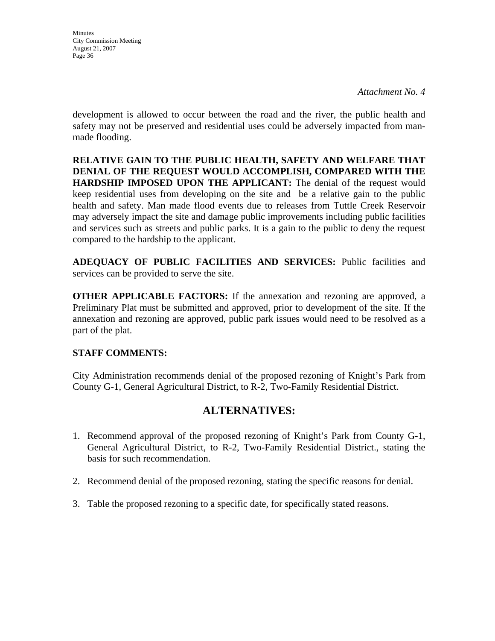*Attachment No. 4*

development is allowed to occur between the road and the river, the public health and safety may not be preserved and residential uses could be adversely impacted from manmade flooding.

**RELATIVE GAIN TO THE PUBLIC HEALTH, SAFETY AND WELFARE THAT DENIAL OF THE REQUEST WOULD ACCOMPLISH, COMPARED WITH THE HARDSHIP IMPOSED UPON THE APPLICANT:** The denial of the request would keep residential uses from developing on the site and be a relative gain to the public health and safety. Man made flood events due to releases from Tuttle Creek Reservoir may adversely impact the site and damage public improvements including public facilities and services such as streets and public parks. It is a gain to the public to deny the request compared to the hardship to the applicant.

**ADEQUACY OF PUBLIC FACILITIES AND SERVICES:** Public facilities and services can be provided to serve the site.

**OTHER APPLICABLE FACTORS:** If the annexation and rezoning are approved, a Preliminary Plat must be submitted and approved, prior to development of the site. If the annexation and rezoning are approved, public park issues would need to be resolved as a part of the plat.

## **STAFF COMMENTS:**

City Administration recommends denial of the proposed rezoning of Knight's Park from County G-1, General Agricultural District, to R-2, Two-Family Residential District.

# **ALTERNATIVES:**

- 1. Recommend approval of the proposed rezoning of Knight's Park from County G-1, General Agricultural District, to R-2, Two-Family Residential District., stating the basis for such recommendation.
- 2. Recommend denial of the proposed rezoning, stating the specific reasons for denial.
- 3. Table the proposed rezoning to a specific date, for specifically stated reasons.